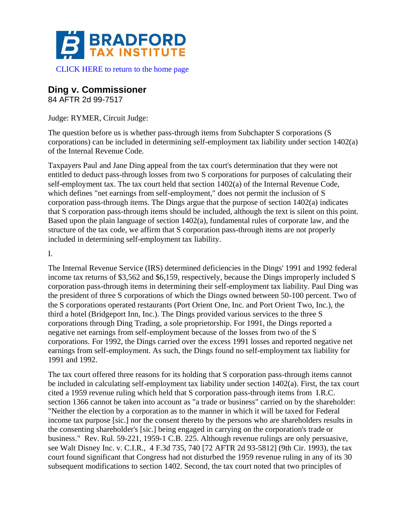

## **Ding v. Commissioner**

84 AFTR 2d 99-7517

Judge: RYMER, Circuit Judge:

The question before us is whether pass-through items from Subchapter S corporations (S corporations) can be included in determining self-employment tax liability under section 1402(a) of the Internal Revenue Code.

Taxpayers Paul and Jane Ding appeal from the tax court's determination that they were not entitled to deduct pass-through losses from two S corporations for purposes of calculating their self-employment tax. The tax court held that section 1402(a) of the Internal Revenue Code, which defines "net earnings from self-employment," does not permit the inclusion of S corporation pass-through items. The Dings argue that the purpose of section 1402(a) indicates that S corporation pass-through items should be included, although the text is silent on this point. Based upon the plain language of section 1402(a), fundamental rules of corporate law, and the structure of the tax code, we affirm that S corporation pass-through items are not properly included in determining self-employment tax liability.

I.

The Internal Revenue Service (IRS) determined deficiencies in the Dings' 1991 and 1992 federal income tax returns of \$3,562 and \$6,159, respectively, because the Dings improperly included S corporation pass-through items in determining their self-employment tax liability. Paul Ding was the president of three S corporations of which the Dings owned between 50-100 percent. Two of the S corporations operated restaurants (Port Orient One, Inc. and Port Orient Two, Inc.), the third a hotel (Bridgeport Inn, Inc.). The Dings provided various services to the three S corporations through Ding Trading, a sole proprietorship. For 1991, the Dings reported a negative net earnings from self-employment because of the losses from two of the S corporations. For 1992, the Dings carried over the excess 1991 losses and reported negative net earnings from self-employment. As such, the Dings found no self-employment tax liability for 1991 and 1992.

The tax court offered three reasons for its holding that S corporation pass-through items cannot be included in calculating self-employment tax liability under section 1402(a). First, the tax court cited a 1959 revenue ruling which held that S corporation pass-through items from I.R.C. section 1366 cannot be taken into account as "a trade or business" carried on by the shareholder: "Neither the election by a corporation as to the manner in which it will be taxed for Federal income tax purpose [sic.] nor the consent thereto by the persons who are shareholders results in the consenting shareholder's [sic.] being engaged in carrying on the corporation's trade or business." Rev. Rul. 59-221, 1959-1 C.B. 225. Although revenue rulings are only persuasive, see Walt Disney Inc. v. C.I.R., 4 F.3d 735, 740 [72 AFTR 2d 93-5812] (9th Cir. 1993), the tax court found significant that Congress had not disturbed the 1959 revenue ruling in any of its 30 subsequent modifications to section 1402. Second, the tax court noted that two principles of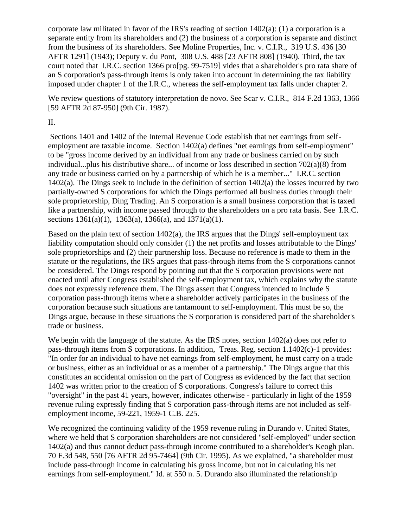corporate law militated in favor of the IRS's reading of section 1402(a): (1) a corporation is a separate entity from its shareholders and (2) the business of a corporation is separate and distinct from the business of its shareholders. See Moline Properties, Inc. v. C.I.R., 319 U.S. 436 [30 AFTR 1291] (1943); Deputy v. du Pont, 308 U.S. 488 [23 AFTR 808] (1940). Third, the tax court noted that I.R.C. section 1366 pro[pg. 99-7519] vides that a shareholder's pro rata share of an S corporation's pass-through items is only taken into account in determining the tax liability imposed under chapter 1 of the I.R.C., whereas the self-employment tax falls under chapter 2.

We review questions of statutory interpretation de novo. See Scar v. C.I.R., 814 F.2d 1363, 1366 [59 AFTR 2d 87-950] (9th Cir. 1987).

## II.

Sections 1401 and 1402 of the Internal Revenue Code establish that net earnings from selfemployment are taxable income. Section 1402(a) defines "net earnings from self-employment" to be "gross income derived by an individual from any trade or business carried on by such individual...plus his distributive share... of income or loss described in section 702(a)(8) from any trade or business carried on by a partnership of which he is a member..." I.R.C. section 1402(a). The Dings seek to include in the definition of section 1402(a) the losses incurred by two partially-owned S corporations for which the Dings performed all business duties through their sole proprietorship, Ding Trading. An S corporation is a small business corporation that is taxed like a partnership, with income passed through to the shareholders on a pro rata basis. See I.R.C. sections  $1361(a)(1)$ ,  $1363(a)$ ,  $1366(a)$ , and  $1371(a)(1)$ .

Based on the plain text of section 1402(a), the IRS argues that the Dings' self-employment tax liability computation should only consider (1) the net profits and losses attributable to the Dings' sole proprietorships and (2) their partnership loss. Because no reference is made to them in the statute or the regulations, the IRS argues that pass-through items from the S corporations cannot be considered. The Dings respond by pointing out that the S corporation provisions were not enacted until after Congress established the self-employment tax, which explains why the statute does not expressly reference them. The Dings assert that Congress intended to include S corporation pass-through items where a shareholder actively participates in the business of the corporation because such situations are tantamount to self-employment. This must be so, the Dings argue, because in these situations the S corporation is considered part of the shareholder's trade or business.

We begin with the language of the statute. As the IRS notes, section 1402(a) does not refer to pass-through items from S corporations. In addition, Treas. Reg. section 1.1402(c)-1 provides: "In order for an individual to have net earnings from self-employment, he must carry on a trade or business, either as an individual or as a member of a partnership." The Dings argue that this constitutes an accidental omission on the part of Congress as evidenced by the fact that section 1402 was written prior to the creation of S corporations. Congress's failure to correct this "oversight" in the past 41 years, however, indicates otherwise - particularly in light of the 1959 revenue ruling expressly finding that S corporation pass-through items are not included as selfemployment income, 59-221, 1959-1 C.B. 225.

We recognized the continuing validity of the 1959 revenue ruling in Durando v. United States, where we held that S corporation shareholders are not considered "self-employed" under section 1402(a) and thus cannot deduct pass-through income contributed to a shareholder's Keogh plan. 70 F.3d 548, 550 [76 AFTR 2d 95-7464] (9th Cir. 1995). As we explained, "a shareholder must include pass-through income in calculating his gross income, but not in calculating his net earnings from self-employment." Id. at 550 n. 5. Durando also illuminated the relationship